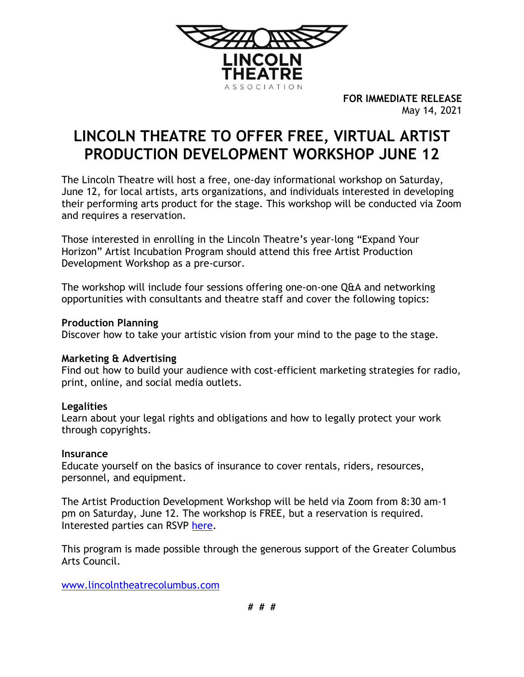

**FOR IMMEDIATE RELEASE** May 14, 2021

# **LINCOLN THEATRE TO OFFER FREE, VIRTUAL ARTIST PRODUCTION DEVELOPMENT WORKSHOP JUNE 12**

The Lincoln Theatre will host a free, one-day informational workshop on Saturday, June 12, for local artists, arts organizations, and individuals interested in developing their performing arts product for the stage. This workshop will be conducted via Zoom and requires a reservation.

Those interested in enrolling in the Lincoln Theatre's year-long "Expand Your Horizon" Artist Incubation Program should attend this free Artist Production Development Workshop as a pre-cursor.

The workshop will include four sessions offering one-on-one Q&A and networking opportunities with consultants and theatre staff and cover the following topics:

#### **Production Planning**

Discover how to take your artistic vision from your mind to the page to the stage.

## **Marketing & Advertising**

Find out how to build your audience with cost-efficient marketing strategies for radio, print, online, and social media outlets.

## **Legalities**

Learn about your legal rights and obligations and how to legally protect your work through copyrights.

#### **Insurance**

Educate yourself on the basics of insurance to cover rentals, riders, resources, personnel, and equipment.

The Artist Production Development Workshop will be held via Zoom from 8:30 am-1 pm on Saturday, June 12. The workshop is FREE, but a reservation is required. Interested parties can RSVP [here.](https://secure.qgiv.com/for/apdw/event/822978/)

This program is made possible through the generous support of the Greater Columbus Arts Council.

[www.lincolntheatrecolumbus.com](http://www.lincolntheatrecolumbus.com/)